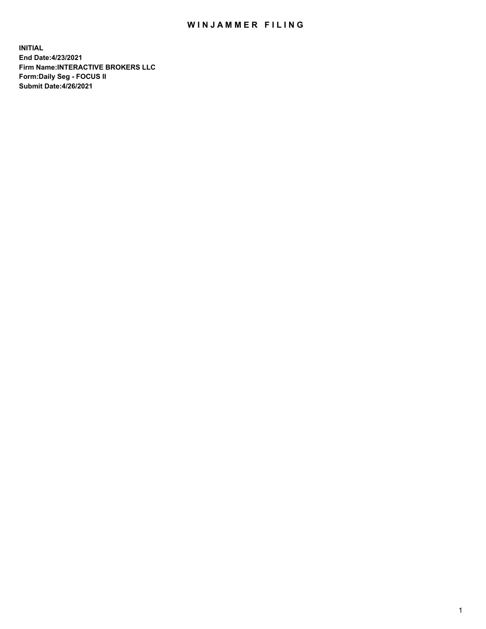## WIN JAMMER FILING

**INITIAL End Date:4/23/2021 Firm Name:INTERACTIVE BROKERS LLC Form:Daily Seg - FOCUS II Submit Date:4/26/2021**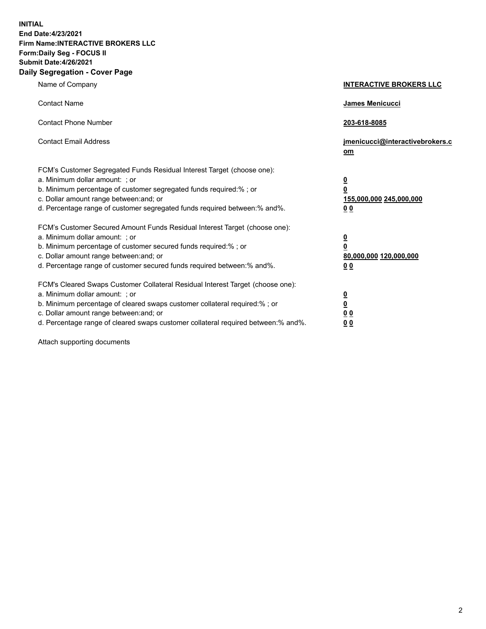**INITIAL End Date:4/23/2021 Firm Name:INTERACTIVE BROKERS LLC Form:Daily Seg - FOCUS II Submit Date:4/26/2021 Daily Segregation - Cover Page**

| Name of Company                                                                                                                                                                                                                                                                                                                | <b>INTERACTIVE BROKERS LLC</b>                                                   |  |
|--------------------------------------------------------------------------------------------------------------------------------------------------------------------------------------------------------------------------------------------------------------------------------------------------------------------------------|----------------------------------------------------------------------------------|--|
| <b>Contact Name</b>                                                                                                                                                                                                                                                                                                            | James Menicucci                                                                  |  |
| <b>Contact Phone Number</b>                                                                                                                                                                                                                                                                                                    | 203-618-8085                                                                     |  |
| <b>Contact Email Address</b>                                                                                                                                                                                                                                                                                                   | jmenicucci@interactivebrokers.c<br>om                                            |  |
| FCM's Customer Segregated Funds Residual Interest Target (choose one):<br>a. Minimum dollar amount: ; or<br>b. Minimum percentage of customer segregated funds required:% ; or<br>c. Dollar amount range between: and; or<br>d. Percentage range of customer segregated funds required between:% and%.                         | <u>0</u><br>$\overline{\mathbf{0}}$<br>155,000,000 245,000,000<br>0 <sub>0</sub> |  |
| FCM's Customer Secured Amount Funds Residual Interest Target (choose one):<br>a. Minimum dollar amount: ; or<br>b. Minimum percentage of customer secured funds required:% ; or<br>c. Dollar amount range between: and; or<br>d. Percentage range of customer secured funds required between:% and%.                           | <u>0</u><br>$\overline{\mathbf{0}}$<br>80,000,000 120,000,000<br>0 <sub>0</sub>  |  |
| FCM's Cleared Swaps Customer Collateral Residual Interest Target (choose one):<br>a. Minimum dollar amount: ; or<br>b. Minimum percentage of cleared swaps customer collateral required:% ; or<br>c. Dollar amount range between: and; or<br>d. Percentage range of cleared swaps customer collateral required between:% and%. | <u>0</u><br>$\underline{\mathbf{0}}$<br>0 <sub>0</sub><br>0 <sub>0</sub>         |  |

Attach supporting documents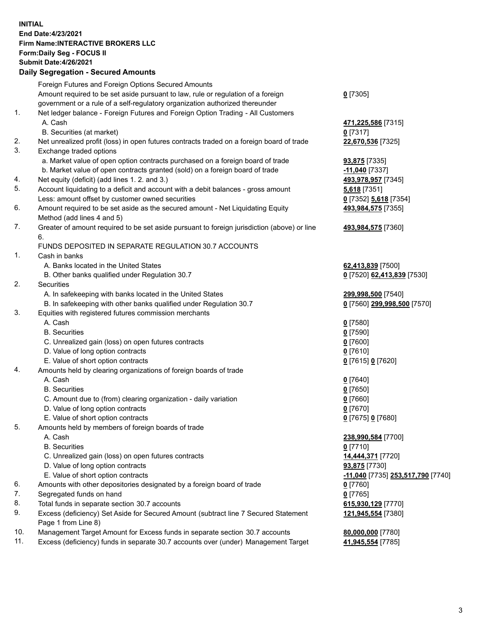**INITIAL End Date:4/23/2021 Firm Name:INTERACTIVE BROKERS LLC Form:Daily Seg - FOCUS II Submit Date:4/26/2021 Daily Segregation - Secured Amounts**

## Foreign Futures and Foreign Options Secured Amounts Amount required to be set aside pursuant to law, rule or regulation of a foreign government or a rule of a self-regulatory organization authorized thereunder **0** [7305] 1. Net ledger balance - Foreign Futures and Foreign Option Trading - All Customers A. Cash **471,225,586** [7315] B. Securities (at market) **0** [7317] 2. Net unrealized profit (loss) in open futures contracts traded on a foreign board of trade **22,670,536** [7325] 3. Exchange traded options a. Market value of open option contracts purchased on a foreign board of trade **93,875** [7335] b. Market value of open contracts granted (sold) on a foreign board of trade **-11,040** [7337] 4. Net equity (deficit) (add lines 1. 2. and 3.) **493,978,957** [7345] 5. Account liquidating to a deficit and account with a debit balances - gross amount **5,618** [7351] Less: amount offset by customer owned securities **0** [7352] **5,618** [7354] 6. Amount required to be set aside as the secured amount - Net Liquidating Equity Method (add lines 4 and 5) **493,984,575** [7355] 7. Greater of amount required to be set aside pursuant to foreign jurisdiction (above) or line 6. **493,984,575** [7360] FUNDS DEPOSITED IN SEPARATE REGULATION 30.7 ACCOUNTS 1. Cash in banks A. Banks located in the United States **62,413,839** [7500] B. Other banks qualified under Regulation 30.7 **0** [7520] **62,413,839** [7530] 2. Securities A. In safekeeping with banks located in the United States **299,998,500** [7540] B. In safekeeping with other banks qualified under Regulation 30.7 **0** [7560] **299,998,500** [7570] 3. Equities with registered futures commission merchants A. Cash **0** [7580] B. Securities **0** [7590] C. Unrealized gain (loss) on open futures contracts **0** [7600] D. Value of long option contracts **0** [7610] E. Value of short option contracts **0** [7615] **0** [7620] 4. Amounts held by clearing organizations of foreign boards of trade A. Cash **0** [7640] B. Securities **0** [7650] C. Amount due to (from) clearing organization - daily variation **0** [7660] D. Value of long option contracts **0** [7670] E. Value of short option contracts **0** [7675] **0** [7680] 5. Amounts held by members of foreign boards of trade A. Cash **238,990,584** [7700] B. Securities **0** [7710] C. Unrealized gain (loss) on open futures contracts **14,444,371** [7720] D. Value of long option contracts **93,875** [7730] E. Value of short option contracts **-11,040** [7735] **253,517,790** [7740] 6. Amounts with other depositories designated by a foreign board of trade **0** [7760] 7. Segregated funds on hand **0** [7765] 8. Total funds in separate section 30.7 accounts **615,930,129** [7770] 9. Excess (deficiency) Set Aside for Secured Amount (subtract line 7 Secured Statement Page 1 from Line 8) **121,945,554** [7380] 10. Management Target Amount for Excess funds in separate section 30.7 accounts **80,000,000** [7780] 11. Excess (deficiency) funds in separate 30.7 accounts over (under) Management Target **41,945,554** [7785]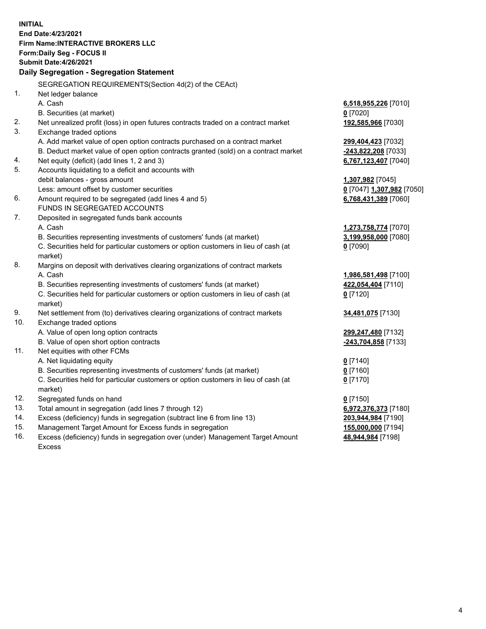**INITIAL End Date:4/23/2021 Firm Name:INTERACTIVE BROKERS LLC Form:Daily Seg - FOCUS II Submit Date:4/26/2021 Daily Segregation - Segregation Statement** SEGREGATION REQUIREMENTS(Section 4d(2) of the CEAct) 1. Net ledger balance A. Cash **6,518,955,226** [7010] B. Securities (at market) **0** [7020] 2. Net unrealized profit (loss) in open futures contracts traded on a contract market **192,585,966** [7030] 3. Exchange traded options A. Add market value of open option contracts purchased on a contract market **299,404,423** [7032] B. Deduct market value of open option contracts granted (sold) on a contract market **-243,822,208** [7033] 4. Net equity (deficit) (add lines 1, 2 and 3) **6,767,123,407** [7040] 5. Accounts liquidating to a deficit and accounts with debit balances - gross amount **1,307,982** [7045] Less: amount offset by customer securities **0** [7047] **1,307,982** [7050] 6. Amount required to be segregated (add lines 4 and 5) **6,768,431,389** [7060] FUNDS IN SEGREGATED ACCOUNTS 7. Deposited in segregated funds bank accounts A. Cash **1,273,758,774** [7070] B. Securities representing investments of customers' funds (at market) **3,199,958,000** [7080] C. Securities held for particular customers or option customers in lieu of cash (at market) **0** [7090] 8. Margins on deposit with derivatives clearing organizations of contract markets A. Cash **1,986,581,498** [7100] B. Securities representing investments of customers' funds (at market) **422,054,404** [7110] C. Securities held for particular customers or option customers in lieu of cash (at market) **0** [7120] 9. Net settlement from (to) derivatives clearing organizations of contract markets **34,481,075** [7130] 10. Exchange traded options A. Value of open long option contracts **299,247,480** [7132] B. Value of open short option contracts **-243,704,858** [7133] 11. Net equities with other FCMs A. Net liquidating equity **0** [7140] B. Securities representing investments of customers' funds (at market) **0** [7160] C. Securities held for particular customers or option customers in lieu of cash (at market) **0** [7170] 12. Segregated funds on hand **0** [7150] 13. Total amount in segregation (add lines 7 through 12) **6,972,376,373** [7180] 14. Excess (deficiency) funds in segregation (subtract line 6 from line 13) **203,944,984** [7190] 15. Management Target Amount for Excess funds in segregation **155,000,000** [7194]

16. Excess (deficiency) funds in segregation over (under) Management Target Amount Excess

**48,944,984** [7198]